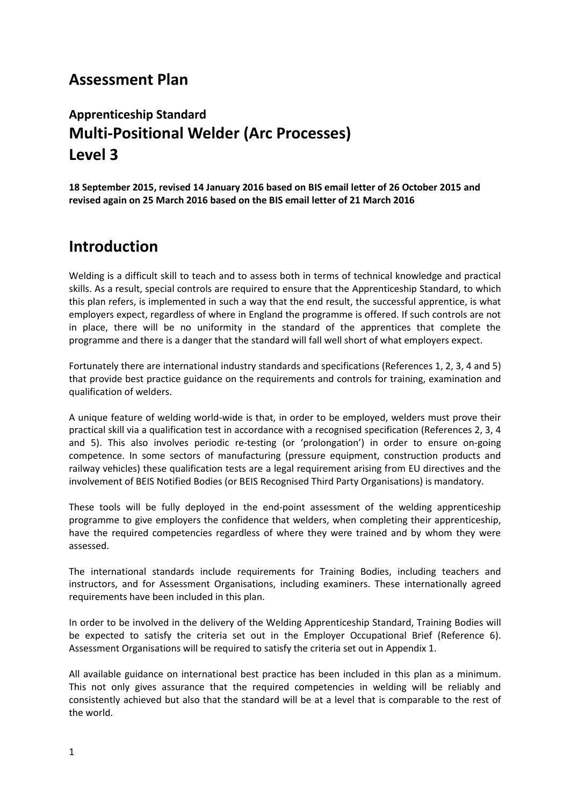## **Assessment Plan**

# **Apprenticeship Standard Multi-Positional Welder (Arc Processes) Level 3**

**18 September 2015, revised 14 January 2016 based on BIS email letter of 26 October 2015 and revised again on 25 March 2016 based on the BIS email letter of 21 March 2016**

## **Introduction**

Welding is a difficult skill to teach and to assess both in terms of technical knowledge and practical skills. As a result, special controls are required to ensure that the Apprenticeship Standard, to which this plan refers, is implemented in such a way that the end result, the successful apprentice, is what employers expect, regardless of where in England the programme is offered. If such controls are not in place, there will be no uniformity in the standard of the apprentices that complete the programme and there is a danger that the standard will fall well short of what employers expect.

Fortunately there are international industry standards and specifications (References 1, 2, 3, 4 and 5) that provide best practice guidance on the requirements and controls for training, examination and qualification of welders.

A unique feature of welding world-wide is that, in order to be employed, welders must prove their practical skill via a qualification test in accordance with a recognised specification (References 2, 3, 4 and 5). This also involves periodic re-testing (or 'prolongation') in order to ensure on-going competence. In some sectors of manufacturing (pressure equipment, construction products and railway vehicles) these qualification tests are a legal requirement arising from EU directives and the involvement of BEIS Notified Bodies (or BEIS Recognised Third Party Organisations) is mandatory.

These tools will be fully deployed in the end-point assessment of the welding apprenticeship programme to give employers the confidence that welders, when completing their apprenticeship, have the required competencies regardless of where they were trained and by whom they were assessed.

The international standards include requirements for Training Bodies, including teachers and instructors, and for Assessment Organisations, including examiners. These internationally agreed requirements have been included in this plan.

In order to be involved in the delivery of the Welding Apprenticeship Standard, Training Bodies will be expected to satisfy the criteria set out in the Employer Occupational Brief (Reference 6). Assessment Organisations will be required to satisfy the criteria set out in Appendix 1.

All available guidance on international best practice has been included in this plan as a minimum. This not only gives assurance that the required competencies in welding will be reliably and consistently achieved but also that the standard will be at a level that is comparable to the rest of the world.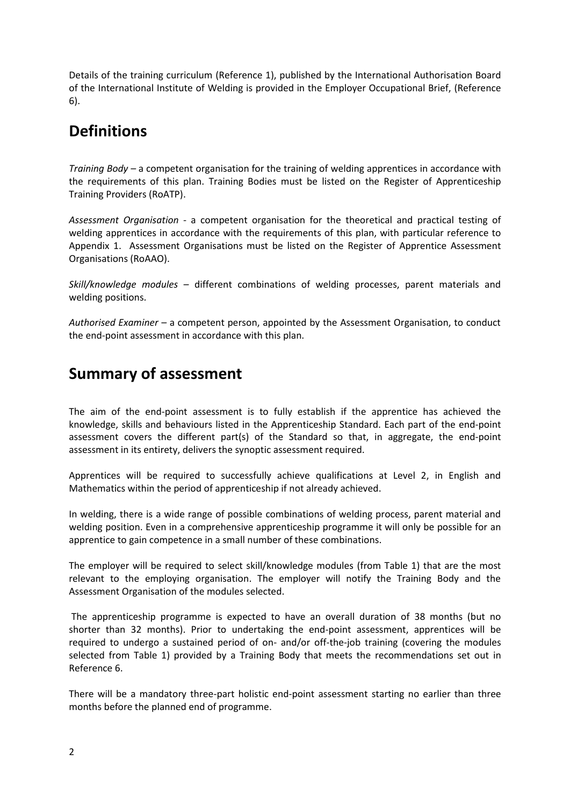Details of the training curriculum (Reference 1), published by the International Authorisation Board of the International Institute of Welding is provided in the Employer Occupational Brief, (Reference 6).

# **Definitions**

*Training Body –* a competent organisation for the training of welding apprentices in accordance with the requirements of this plan. Training Bodies must be listed on the Register of Apprenticeship Training Providers (RoATP).

*Assessment Organisation -* a competent organisation for the theoretical and practical testing of welding apprentices in accordance with the requirements of this plan, with particular reference to Appendix 1. Assessment Organisations must be listed on the Register of Apprentice Assessment Organisations (RoAAO).

*Skill/knowledge modules –* different combinations of welding processes, parent materials and welding positions.

*Authorised Examiner –* a competent person, appointed by the Assessment Organisation, to conduct the end-point assessment in accordance with this plan.

# **Summary of assessment**

The aim of the end-point assessment is to fully establish if the apprentice has achieved the knowledge, skills and behaviours listed in the Apprenticeship Standard. Each part of the end-point assessment covers the different part(s) of the Standard so that, in aggregate, the end-point assessment in its entirety, delivers the synoptic assessment required.

Apprentices will be required to successfully achieve qualifications at Level 2, in English and Mathematics within the period of apprenticeship if not already achieved.

In welding, there is a wide range of possible combinations of welding process, parent material and welding position. Even in a comprehensive apprenticeship programme it will only be possible for an apprentice to gain competence in a small number of these combinations.

The employer will be required to select skill/knowledge modules (from Table 1) that are the most relevant to the employing organisation. The employer will notify the Training Body and the Assessment Organisation of the modules selected.

The apprenticeship programme is expected to have an overall duration of 38 months (but no shorter than 32 months). Prior to undertaking the end-point assessment, apprentices will be required to undergo a sustained period of on- and/or off-the-job training (covering the modules selected from Table 1) provided by a Training Body that meets the recommendations set out in Reference 6.

There will be a mandatory three-part holistic end-point assessment starting no earlier than three months before the planned end of programme.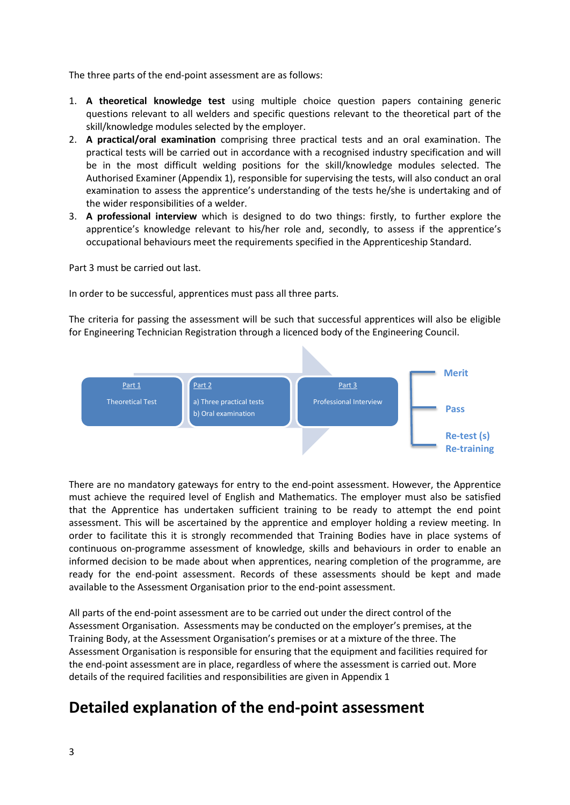The three parts of the end-point assessment are as follows:

- 1. **A theoretical knowledge test** using multiple choice question papers containing generic questions relevant to all welders and specific questions relevant to the theoretical part of the skill/knowledge modules selected by the employer.
- 2. **A practical/oral examination** comprising three practical tests and an oral examination. The practical tests will be carried out in accordance with a recognised industry specification and will be in the most difficult welding positions for the skill/knowledge modules selected. The Authorised Examiner (Appendix 1), responsible for supervising the tests, will also conduct an oral examination to assess the apprentice's understanding of the tests he/she is undertaking and of the wider responsibilities of a welder.
- 3. **A professional interview** which is designed to do two things: firstly, to further explore the apprentice's knowledge relevant to his/her role and, secondly, to assess if the apprentice's occupational behaviours meet the requirements specified in the Apprenticeship Standard.

Part 3 must be carried out last.

In order to be successful, apprentices must pass all three parts.

The criteria for passing the assessment will be such that successful apprentices will also be eligible for Engineering Technician Registration through a licenced body of the Engineering Council.



There are no mandatory gateways for entry to the end-point assessment. However, the Apprentice must achieve the required level of English and Mathematics. The employer must also be satisfied that the Apprentice has undertaken sufficient training to be ready to attempt the end point assessment. This will be ascertained by the apprentice and employer holding a review meeting. In order to facilitate this it is strongly recommended that Training Bodies have in place systems of continuous on-programme assessment of knowledge, skills and behaviours in order to enable an informed decision to be made about when apprentices, nearing completion of the programme, are ready for the end-point assessment. Records of these assessments should be kept and made available to the Assessment Organisation prior to the end-point assessment.

All parts of the end-point assessment are to be carried out under the direct control of the Assessment Organisation. Assessments may be conducted on the employer's premises, at the Training Body, at the Assessment Organisation's premises or at a mixture of the three. The Assessment Organisation is responsible for ensuring that the equipment and facilities required for the end-point assessment are in place, regardless of where the assessment is carried out. More details of the required facilities and responsibilities are given in Appendix 1

# **Detailed explanation of the end-point assessment**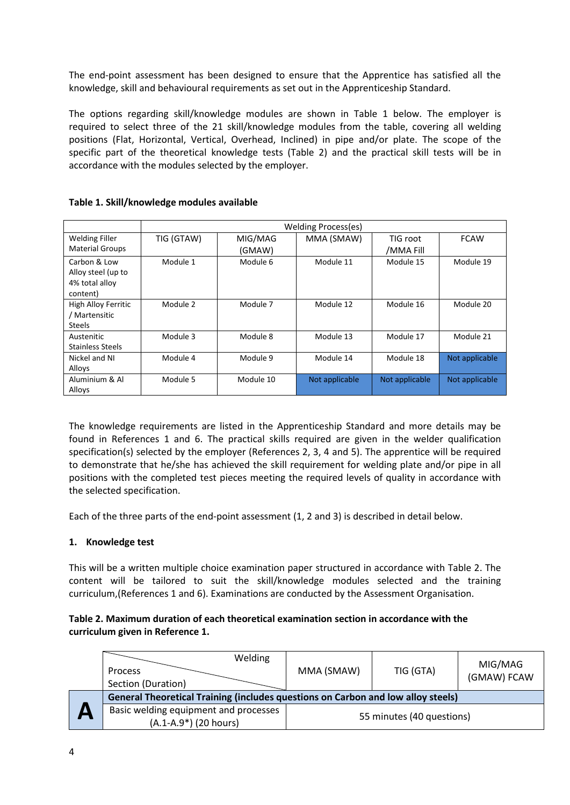The end-point assessment has been designed to ensure that the Apprentice has satisfied all the knowledge, skill and behavioural requirements as set out in the Apprenticeship Standard.

The options regarding skill/knowledge modules are shown in Table 1 below. The employer is required to select three of the 21 skill/knowledge modules from the table, covering all welding positions (Flat, Horizontal, Vertical, Overhead, Inclined) in pipe and/or plate. The scope of the specific part of the theoretical knowledge tests (Table 2) and the practical skill tests will be in accordance with the modules selected by the employer.

|                                                                  | Welding Process(es) |                   |                |                       |                |
|------------------------------------------------------------------|---------------------|-------------------|----------------|-----------------------|----------------|
| <b>Welding Filler</b><br><b>Material Groups</b>                  | TIG (GTAW)          | MIG/MAG<br>(GMAW) | MMA (SMAW)     | TIG root<br>/MMA Fill | <b>FCAW</b>    |
| Carbon & Low<br>Alloy steel (up to<br>4% total alloy<br>content) | Module 1            | Module 6          | Module 11      | Module 15             | Module 19      |
| High Alloy Ferritic<br>/ Martensitic<br><b>Steels</b>            | Module 2            | Module 7          | Module 12      | Module 16             | Module 20      |
| Austenitic<br>Stainless Steels                                   | Module 3            | Module 8          | Module 13      | Module 17             | Module 21      |
| Nickel and NI<br>Alloys                                          | Module 4            | Module 9          | Module 14      | Module 18             | Not applicable |
| Aluminium & Al<br>Alloys                                         | Module 5            | Module 10         | Not applicable | Not applicable        | Not applicable |

## **Table 1. Skill/knowledge modules available**

The knowledge requirements are listed in the Apprenticeship Standard and more details may be found in References 1 and 6. The practical skills required are given in the welder qualification specification(s) selected by the employer (References 2, 3, 4 and 5). The apprentice will be required to demonstrate that he/she has achieved the skill requirement for welding plate and/or pipe in all positions with the completed test pieces meeting the required levels of quality in accordance with the selected specification.

Each of the three parts of the end-point assessment (1, 2 and 3) is described in detail below.

## **1. Knowledge test**

This will be a written multiple choice examination paper structured in accordance with Table 2. The content will be tailored to suit the skill/knowledge modules selected and the training curriculum,(References 1 and 6). Examinations are conducted by the Assessment Organisation.

## **Table 2. Maximum duration of each theoretical examination section in accordance with the curriculum given in Reference 1.**

| Welding<br><b>Process</b><br>Section (Duration)                                  | MMA (SMAW)                | TIG (GTA) | MIG/MAG<br>(GMAW) FCAW |
|----------------------------------------------------------------------------------|---------------------------|-----------|------------------------|
| General Theoretical Training (includes questions on Carbon and low alloy steels) |                           |           |                        |
| Basic welding equipment and processes<br>(A.1-A.9*) (20 hours)                   | 55 minutes (40 questions) |           |                        |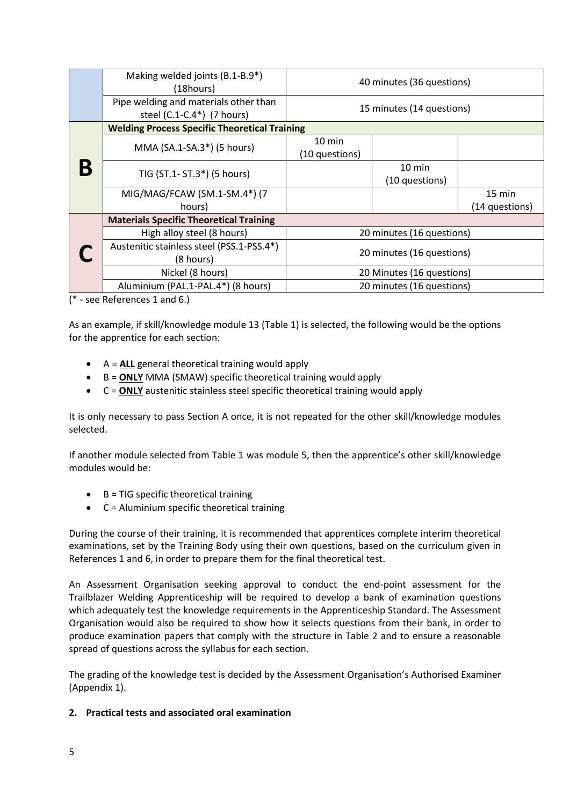|  | Making welded joints (B.1-B.9*)<br>(18hours)                        | 40 minutes (36 questions)          |                                    |                  |
|--|---------------------------------------------------------------------|------------------------------------|------------------------------------|------------------|
|  | Pipe welding and materials other than<br>steel (C.1-C.4*) (7 hours) | 15 minutes (14 questions)          |                                    |                  |
|  | <b>Welding Process Specific Theoretical Training</b>                |                                    |                                    |                  |
|  | MMA (SA.1-SA.3*) (5 hours)                                          | $10 \text{ min}$<br>(10 questions) |                                    |                  |
|  | TIG (ST.1- ST.3*) (5 hours)                                         |                                    | $10 \text{ min}$<br>(10 questions) |                  |
|  | MIG/MAG/FCAW (SM.1-SM.4*) (7                                        |                                    |                                    | $15 \text{ min}$ |
|  | hours)                                                              |                                    |                                    | (14 questions)   |
|  | <b>Materials Specific Theoretical Training</b>                      |                                    |                                    |                  |
|  | High alloy steel (8 hours)                                          | 20 minutes (16 questions)          |                                    |                  |
|  | Austenitic stainless steel (PSS.1-PSS.4*)<br>(8 hours)              | 20 minutes (16 questions)          |                                    |                  |
|  | Nickel (8 hours)                                                    | 20 Minutes (16 questions)          |                                    |                  |
|  | Aluminium (PAL.1-PAL.4*) (8 hours)                                  | 20 minutes (16 questions)          |                                    |                  |

(\* - see References 1 and 6.)

As an example, if skill/knowledge module 13 (Table 1) is selected, the following would be the options for the apprentice for each section:

- A = **ALL** general theoretical training would apply
- B = **ONLY** MMA (SMAW) specific theoretical training would apply
- C = **ONLY** austenitic stainless steel specific theoretical training would apply

It is only necessary to pass Section A once, it is not repeated for the other skill/knowledge modules selected.

If another module selected from Table 1 was module 5, then the apprentice's other skill/knowledge modules would be:

- $\bullet$  B = TIG specific theoretical training
- $\bullet$   $C =$  Aluminium specific theoretical training

During the course of their training, it is recommended that apprentices complete interim theoretical examinations, set by the Training Body using their own questions, based on the curriculum given in References 1 and 6, in order to prepare them for the final theoretical test.

An Assessment Organisation seeking approval to conduct the end-point assessment for the Trailblazer Welding Apprenticeship will be required to develop a bank of examination questions which adequately test the knowledge requirements in the Apprenticeship Standard. The Assessment Organisation would also be required to show how it selects questions from their bank, in order to produce examination papers that comply with the structure in Table 2 and to ensure a reasonable spread of questions across the syllabus for each section.

The grading of the knowledge test is decided by the Assessment Organisation's Authorised Examiner (Appendix 1).

**2. Practical tests and associated oral examination**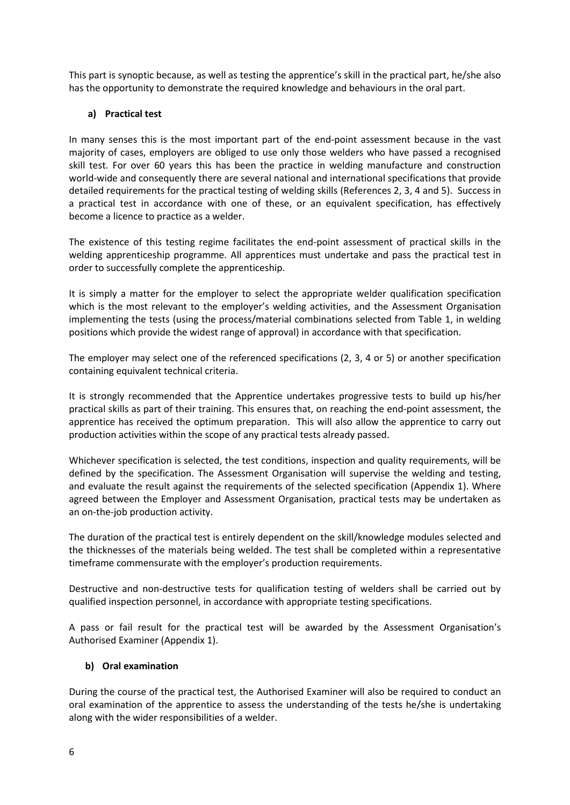This part is synoptic because, as well as testing the apprentice's skill in the practical part, he/she also has the opportunity to demonstrate the required knowledge and behaviours in the oral part.

## **a) Practical test**

In many senses this is the most important part of the end-point assessment because in the vast majority of cases, employers are obliged to use only those welders who have passed a recognised skill test. For over 60 years this has been the practice in welding manufacture and construction world-wide and consequently there are several national and international specifications that provide detailed requirements for the practical testing of welding skills (References 2, 3, 4 and 5). Success in a practical test in accordance with one of these, or an equivalent specification, has effectively become a licence to practice as a welder.

The existence of this testing regime facilitates the end-point assessment of practical skills in the welding apprenticeship programme. All apprentices must undertake and pass the practical test in order to successfully complete the apprenticeship.

It is simply a matter for the employer to select the appropriate welder qualification specification which is the most relevant to the employer's welding activities, and the Assessment Organisation implementing the tests (using the process/material combinations selected from Table 1, in welding positions which provide the widest range of approval) in accordance with that specification.

The employer may select one of the referenced specifications (2, 3, 4 or 5) or another specification containing equivalent technical criteria.

It is strongly recommended that the Apprentice undertakes progressive tests to build up his/her practical skills as part of their training. This ensures that, on reaching the end-point assessment, the apprentice has received the optimum preparation. This will also allow the apprentice to carry out production activities within the scope of any practical tests already passed.

Whichever specification is selected, the test conditions, inspection and quality requirements, will be defined by the specification. The Assessment Organisation will supervise the welding and testing, and evaluate the result against the requirements of the selected specification (Appendix 1). Where agreed between the Employer and Assessment Organisation, practical tests may be undertaken as an on-the-job production activity.

The duration of the practical test is entirely dependent on the skill/knowledge modules selected and the thicknesses of the materials being welded. The test shall be completed within a representative timeframe commensurate with the employer's production requirements.

Destructive and non-destructive tests for qualification testing of welders shall be carried out by qualified inspection personnel, in accordance with appropriate testing specifications.

A pass or fail result for the practical test will be awarded by the Assessment Organisation's Authorised Examiner (Appendix 1).

#### **b) Oral examination**

During the course of the practical test, the Authorised Examiner will also be required to conduct an oral examination of the apprentice to assess the understanding of the tests he/she is undertaking along with the wider responsibilities of a welder.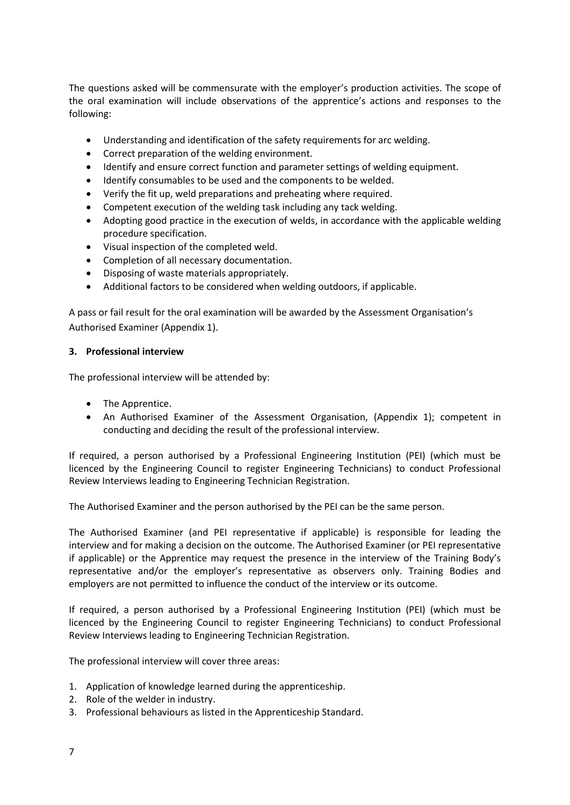The questions asked will be commensurate with the employer's production activities. The scope of the oral examination will include observations of the apprentice's actions and responses to the following:

- Understanding and identification of the safety requirements for arc welding.
- Correct preparation of the welding environment.
- Identify and ensure correct function and parameter settings of welding equipment.
- Identify consumables to be used and the components to be welded.
- Verify the fit up, weld preparations and preheating where required.
- Competent execution of the welding task including any tack welding.
- Adopting good practice in the execution of welds, in accordance with the applicable welding procedure specification.
- Visual inspection of the completed weld.
- Completion of all necessary documentation.
- Disposing of waste materials appropriately.
- Additional factors to be considered when welding outdoors, if applicable.

A pass or fail result for the oral examination will be awarded by the Assessment Organisation's Authorised Examiner (Appendix 1).

## **3. Professional interview**

The professional interview will be attended by:

- The Apprentice.
- An Authorised Examiner of the Assessment Organisation, (Appendix 1); competent in conducting and deciding the result of the professional interview.

If required, a person authorised by a Professional Engineering Institution (PEI) (which must be licenced by the Engineering Council to register Engineering Technicians) to conduct Professional Review Interviews leading to Engineering Technician Registration.

The Authorised Examiner and the person authorised by the PEI can be the same person.

The Authorised Examiner (and PEI representative if applicable) is responsible for leading the interview and for making a decision on the outcome. The Authorised Examiner (or PEI representative if applicable) or the Apprentice may request the presence in the interview of the Training Body's representative and/or the employer's representative as observers only. Training Bodies and employers are not permitted to influence the conduct of the interview or its outcome.

If required, a person authorised by a Professional Engineering Institution (PEI) (which must be licenced by the Engineering Council to register Engineering Technicians) to conduct Professional Review Interviews leading to Engineering Technician Registration.

The professional interview will cover three areas:

- 1. Application of knowledge learned during the apprenticeship.
- 2. Role of the welder in industry.
- 3. Professional behaviours as listed in the Apprenticeship Standard.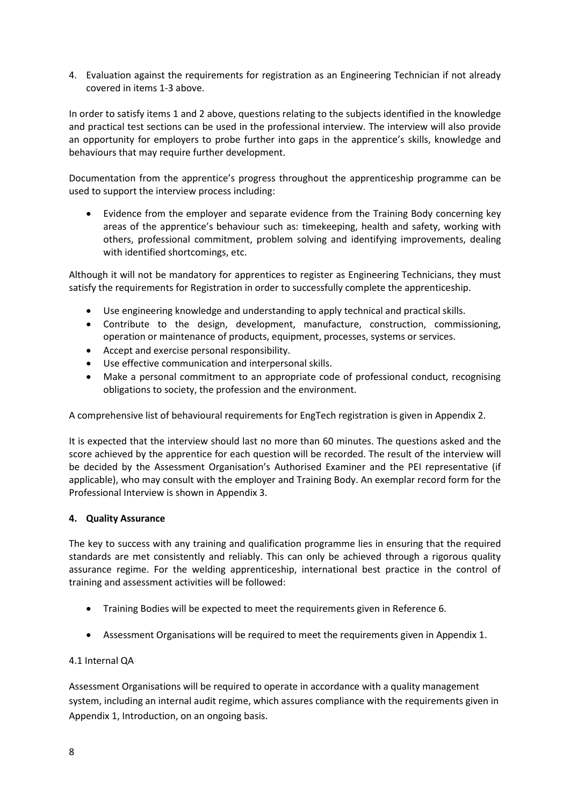4. Evaluation against the requirements for registration as an Engineering Technician if not already covered in items 1-3 above.

In order to satisfy items 1 and 2 above, questions relating to the subjects identified in the knowledge and practical test sections can be used in the professional interview. The interview will also provide an opportunity for employers to probe further into gaps in the apprentice's skills, knowledge and behaviours that may require further development.

Documentation from the apprentice's progress throughout the apprenticeship programme can be used to support the interview process including:

 Evidence from the employer and separate evidence from the Training Body concerning key areas of the apprentice's behaviour such as: timekeeping, health and safety, working with others, professional commitment, problem solving and identifying improvements, dealing with identified shortcomings, etc.

Although it will not be mandatory for apprentices to register as Engineering Technicians, they must satisfy the requirements for Registration in order to successfully complete the apprenticeship.

- Use engineering knowledge and understanding to apply technical and practical skills.
- Contribute to the design, development, manufacture, construction, commissioning, operation or maintenance of products, equipment, processes, systems or services.
- Accept and exercise personal responsibility.
- Use effective communication and interpersonal skills.
- Make a personal commitment to an appropriate code of professional conduct, recognising obligations to society, the profession and the environment.

A comprehensive list of behavioural requirements for EngTech registration is given in Appendix 2.

It is expected that the interview should last no more than 60 minutes. The questions asked and the score achieved by the apprentice for each question will be recorded. The result of the interview will be decided by the Assessment Organisation's Authorised Examiner and the PEI representative (if applicable), who may consult with the employer and Training Body. An exemplar record form for the Professional Interview is shown in Appendix 3.

## **4. Quality Assurance**

The key to success with any training and qualification programme lies in ensuring that the required standards are met consistently and reliably. This can only be achieved through a rigorous quality assurance regime. For the welding apprenticeship, international best practice in the control of training and assessment activities will be followed:

- Training Bodies will be expected to meet the requirements given in Reference 6.
- Assessment Organisations will be required to meet the requirements given in Appendix 1.

## 4.1 Internal QA

Assessment Organisations will be required to operate in accordance with a quality management system, including an internal audit regime, which assures compliance with the requirements given in Appendix 1, Introduction, on an ongoing basis.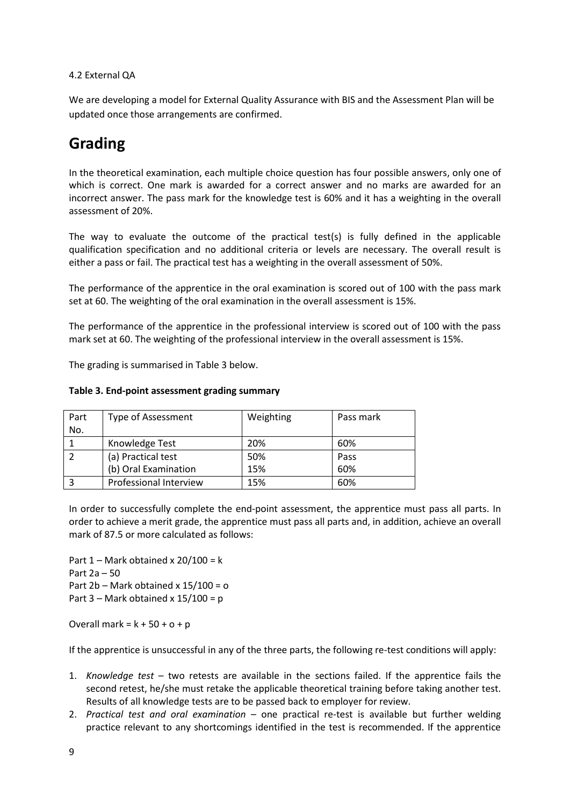## 4.2 External QA

We are developing a model for External Quality Assurance with BIS and the Assessment Plan will be updated once those arrangements are confirmed.

# **Grading**

In the theoretical examination, each multiple choice question has four possible answers, only one of which is correct. One mark is awarded for a correct answer and no marks are awarded for an incorrect answer. The pass mark for the knowledge test is 60% and it has a weighting in the overall assessment of 20%.

The way to evaluate the outcome of the practical test(s) is fully defined in the applicable qualification specification and no additional criteria or levels are necessary. The overall result is either a pass or fail. The practical test has a weighting in the overall assessment of 50%.

The performance of the apprentice in the oral examination is scored out of 100 with the pass mark set at 60. The weighting of the oral examination in the overall assessment is 15%.

The performance of the apprentice in the professional interview is scored out of 100 with the pass mark set at 60. The weighting of the professional interview in the overall assessment is 15%.

The grading is summarised in Table 3 below.

| Part | <b>Type of Assessment</b> | Weighting | Pass mark |
|------|---------------------------|-----------|-----------|
| No.  |                           |           |           |
|      | Knowledge Test            | 20%       | 60%       |
|      | (a) Practical test        | 50%       | Pass      |
|      | (b) Oral Examination      | 15%       | 60%       |
| 3    | Professional Interview    | 15%       | 60%       |

#### **Table 3. End-point assessment grading summary**

In order to successfully complete the end-point assessment, the apprentice must pass all parts. In order to achieve a merit grade, the apprentice must pass all parts and, in addition, achieve an overall mark of 87.5 or more calculated as follows:

Part  $1$  – Mark obtained x  $20/100 = k$ Part 2a – 50 Part 2b – Mark obtained x 15/100 = o Part 3 – Mark obtained x  $15/100 = p$ 

Overall mark =  $k + 50 + o + p$ 

If the apprentice is unsuccessful in any of the three parts, the following re-test conditions will apply:

- 1. *Knowledge test* two retests are available in the sections failed. If the apprentice fails the second retest, he/she must retake the applicable theoretical training before taking another test. Results of all knowledge tests are to be passed back to employer for review.
- 2. *Practical test and oral examination* one practical re-test is available but further welding practice relevant to any shortcomings identified in the test is recommended. If the apprentice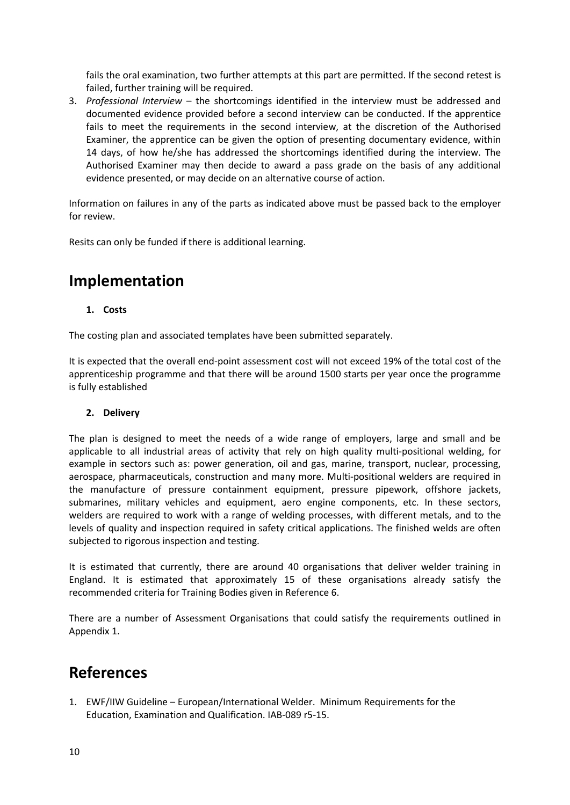fails the oral examination, two further attempts at this part are permitted. If the second retest is failed, further training will be required.

3. *Professional Interview* – the shortcomings identified in the interview must be addressed and documented evidence provided before a second interview can be conducted. If the apprentice fails to meet the requirements in the second interview, at the discretion of the Authorised Examiner, the apprentice can be given the option of presenting documentary evidence, within 14 days, of how he/she has addressed the shortcomings identified during the interview. The Authorised Examiner may then decide to award a pass grade on the basis of any additional evidence presented, or may decide on an alternative course of action.

Information on failures in any of the parts as indicated above must be passed back to the employer for review.

Resits can only be funded if there is additional learning.

# **Implementation**

## **1. Costs**

The costing plan and associated templates have been submitted separately.

It is expected that the overall end-point assessment cost will not exceed 19% of the total cost of the apprenticeship programme and that there will be around 1500 starts per year once the programme is fully established

## **2. Delivery**

The plan is designed to meet the needs of a wide range of employers, large and small and be applicable to all industrial areas of activity that rely on high quality multi-positional welding, for example in sectors such as: power generation, oil and gas, marine, transport, nuclear, processing, aerospace, pharmaceuticals, construction and many more. Multi-positional welders are required in the manufacture of pressure containment equipment, pressure pipework, offshore jackets, submarines, military vehicles and equipment, aero engine components, etc. In these sectors, welders are required to work with a range of welding processes, with different metals, and to the levels of quality and inspection required in safety critical applications. The finished welds are often subjected to rigorous inspection and testing.

It is estimated that currently, there are around 40 organisations that deliver welder training in England. It is estimated that approximately 15 of these organisations already satisfy the recommended criteria for Training Bodies given in Reference 6.

There are a number of Assessment Organisations that could satisfy the requirements outlined in Appendix 1.

## **References**

1. EWF/IIW Guideline – European/International Welder. Minimum Requirements for the Education, Examination and Qualification. IAB-089 r5-15.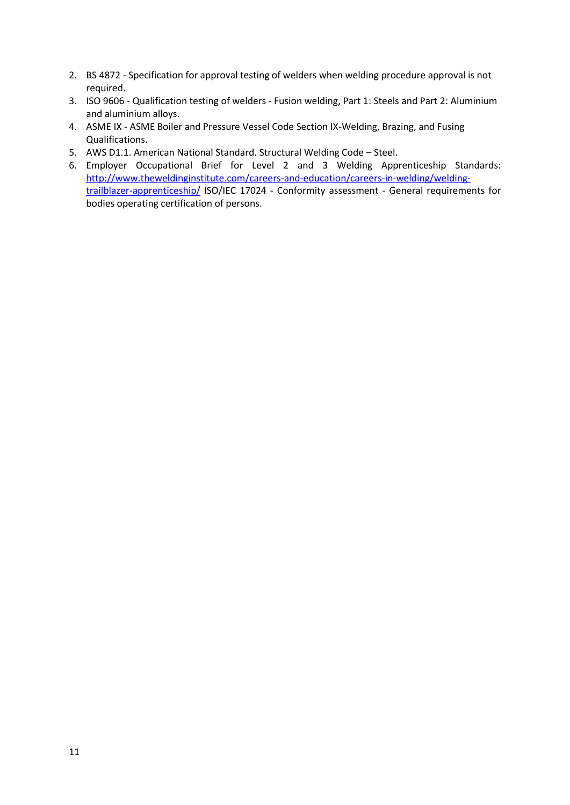- 2. BS 4872 Specification for approval testing of welders when welding procedure approval is not required.
- 3. ISO 9606 Qualification testing of welders Fusion welding, Part 1: Steels and Part 2: Aluminium and aluminium alloys.
- 4. ASME IX ASME Boiler and Pressure Vessel Code Section IX-Welding, Brazing, and Fusing Qualifications.
- 5. AWS D1.1. American National Standard. Structural Welding Code Steel.
- 6. Employer Occupational Brief for Level 2 and 3 Welding Apprenticeship Standards: [http://www.theweldinginstitute.com/careers-and-education/careers-in-welding/welding](http://www.theweldinginstitute.com/careers-and-education/careers-in-welding/welding-trailblazer-apprenticeship/)[trailblazer-apprenticeship/](http://www.theweldinginstitute.com/careers-and-education/careers-in-welding/welding-trailblazer-apprenticeship/) ISO/IEC 17024 - Conformity assessment - General requirements for bodies operating certification of persons.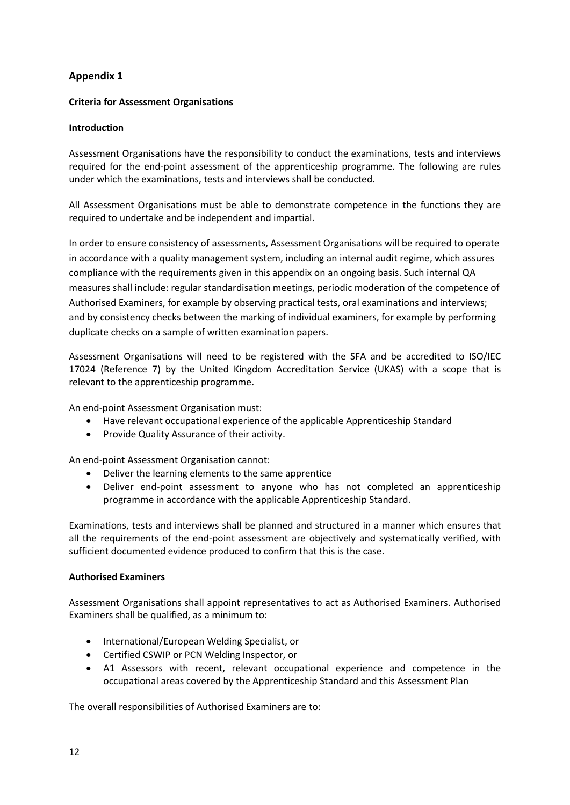## **Appendix 1**

## **Criteria for Assessment Organisations**

## **Introduction**

Assessment Organisations have the responsibility to conduct the examinations, tests and interviews required for the end-point assessment of the apprenticeship programme. The following are rules under which the examinations, tests and interviews shall be conducted.

All Assessment Organisations must be able to demonstrate competence in the functions they are required to undertake and be independent and impartial.

In order to ensure consistency of assessments, Assessment Organisations will be required to operate in accordance with a quality management system, including an internal audit regime, which assures compliance with the requirements given in this appendix on an ongoing basis. Such internal QA measures shall include: regular standardisation meetings, periodic moderation of the competence of Authorised Examiners, for example by observing practical tests, oral examinations and interviews; and by consistency checks between the marking of individual examiners, for example by performing duplicate checks on a sample of written examination papers.

Assessment Organisations will need to be registered with the SFA and be accredited to ISO/IEC 17024 (Reference 7) by the United Kingdom Accreditation Service (UKAS) with a scope that is relevant to the apprenticeship programme.

An end-point Assessment Organisation must:

- Have relevant occupational experience of the applicable Apprenticeship Standard
- Provide Quality Assurance of their activity.

An end-point Assessment Organisation cannot:

- Deliver the learning elements to the same apprentice
- Deliver end-point assessment to anyone who has not completed an apprenticeship programme in accordance with the applicable Apprenticeship Standard.

Examinations, tests and interviews shall be planned and structured in a manner which ensures that all the requirements of the end-point assessment are objectively and systematically verified, with sufficient documented evidence produced to confirm that this is the case.

#### **Authorised Examiners**

Assessment Organisations shall appoint representatives to act as Authorised Examiners. Authorised Examiners shall be qualified, as a minimum to:

- International/European Welding Specialist, or
- Certified CSWIP or PCN Welding Inspector, or
- A1 Assessors with recent, relevant occupational experience and competence in the occupational areas covered by the Apprenticeship Standard and this Assessment Plan

The overall responsibilities of Authorised Examiners are to: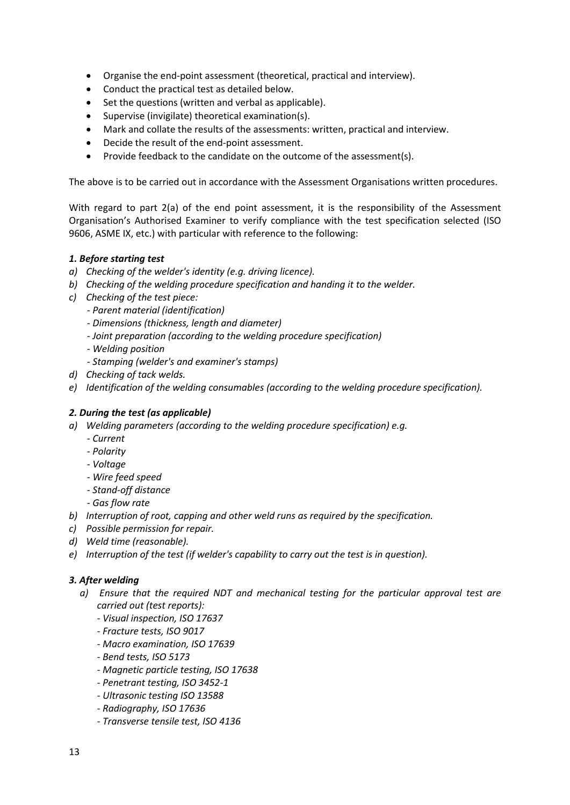- Organise the end-point assessment (theoretical, practical and interview).
- Conduct the practical test as detailed below.
- Set the questions (written and verbal as applicable).
- Supervise (invigilate) theoretical examination(s).
- Mark and collate the results of the assessments: written, practical and interview.
- Decide the result of the end-point assessment.
- Provide feedback to the candidate on the outcome of the assessment(s).

The above is to be carried out in accordance with the Assessment Organisations written procedures.

With regard to part 2(a) of the end point assessment, it is the responsibility of the Assessment Organisation's Authorised Examiner to verify compliance with the test specification selected (ISO 9606, ASME IX, etc.) with particular with reference to the following:

## *1. Before starting test*

- *a) Checking of the welder's identity (e.g. driving licence).*
- *b) Checking of the welding procedure specification and handing it to the welder.*
- *c) Checking of the test piece:*
	- *- Parent material (identification)*
	- *- Dimensions (thickness, length and diameter)*
	- *- Joint preparation (according to the welding procedure specification)*
	- *- Welding position*
	- *- Stamping (welder's and examiner's stamps)*
- *d) Checking of tack welds.*
- *e) Identification of the welding consumables (according to the welding procedure specification).*

## *2. During the test (as applicable)*

- *a) Welding parameters (according to the welding procedure specification) e.g.*
	- *- Current*
	- *- Polarity*
	- *- Voltage*
	- *- Wire feed speed*
	- *- Stand-off distance*
	- *- Gas flow rate*
- *b) Interruption of root, capping and other weld runs as required by the specification.*
- *c) Possible permission for repair.*
- *d) Weld time (reasonable).*
- *e) Interruption of the test (if welder's capability to carry out the test is in question).*

## *3. After welding*

- *a) Ensure that the required NDT and mechanical testing for the particular approval test are carried out (test reports):*
	- *- Visual inspection, ISO 17637*
	- *- Fracture tests, ISO 9017*
	- *- Macro examination, ISO 17639*
	- *- Bend tests, ISO 5173*
	- *- Magnetic particle testing, ISO 17638*
	- *- Penetrant testing, ISO 3452-1*
	- *- Ultrasonic testing ISO 13588*
	- *- Radiography, ISO 17636*
	- *- Transverse tensile test, ISO 4136*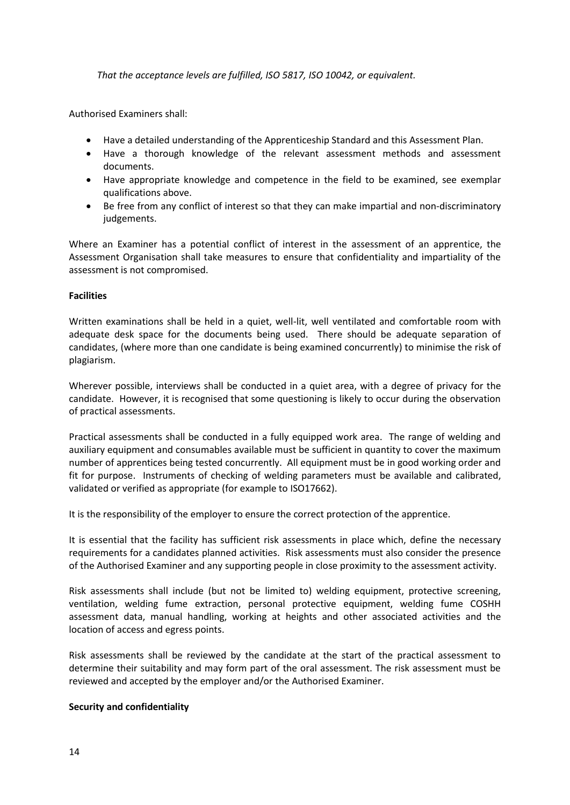*That the acceptance levels are fulfilled, ISO 5817, ISO 10042, or equivalent.*

Authorised Examiners shall:

- Have a detailed understanding of the Apprenticeship Standard and this Assessment Plan.
- Have a thorough knowledge of the relevant assessment methods and assessment documents.
- Have appropriate knowledge and competence in the field to be examined, see exemplar qualifications above.
- Be free from any conflict of interest so that they can make impartial and non-discriminatory judgements.

Where an Examiner has a potential conflict of interest in the assessment of an apprentice, the Assessment Organisation shall take measures to ensure that confidentiality and impartiality of the assessment is not compromised.

## **Facilities**

Written examinations shall be held in a quiet, well-lit, well ventilated and comfortable room with adequate desk space for the documents being used. There should be adequate separation of candidates, (where more than one candidate is being examined concurrently) to minimise the risk of plagiarism.

Wherever possible, interviews shall be conducted in a quiet area, with a degree of privacy for the candidate. However, it is recognised that some questioning is likely to occur during the observation of practical assessments.

Practical assessments shall be conducted in a fully equipped work area. The range of welding and auxiliary equipment and consumables available must be sufficient in quantity to cover the maximum number of apprentices being tested concurrently. All equipment must be in good working order and fit for purpose. Instruments of checking of welding parameters must be available and calibrated, validated or verified as appropriate (for example to ISO17662).

It is the responsibility of the employer to ensure the correct protection of the apprentice.

It is essential that the facility has sufficient risk assessments in place which, define the necessary requirements for a candidates planned activities. Risk assessments must also consider the presence of the Authorised Examiner and any supporting people in close proximity to the assessment activity.

Risk assessments shall include (but not be limited to) welding equipment, protective screening, ventilation, welding fume extraction, personal protective equipment, welding fume COSHH assessment data, manual handling, working at heights and other associated activities and the location of access and egress points.

Risk assessments shall be reviewed by the candidate at the start of the practical assessment to determine their suitability and may form part of the oral assessment. The risk assessment must be reviewed and accepted by the employer and/or the Authorised Examiner.

#### **Security and confidentiality**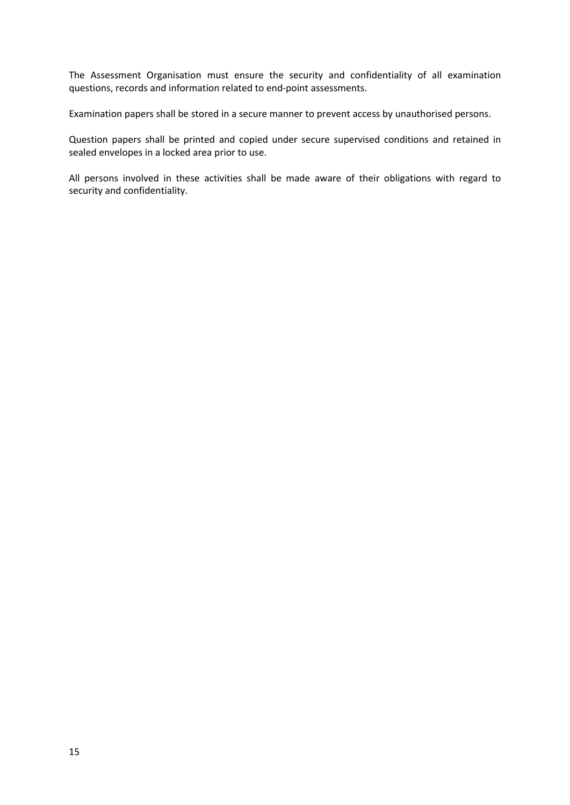The Assessment Organisation must ensure the security and confidentiality of all examination questions, records and information related to end-point assessments.

Examination papers shall be stored in a secure manner to prevent access by unauthorised persons.

Question papers shall be printed and copied under secure supervised conditions and retained in sealed envelopes in a locked area prior to use.

All persons involved in these activities shall be made aware of their obligations with regard to security and confidentiality.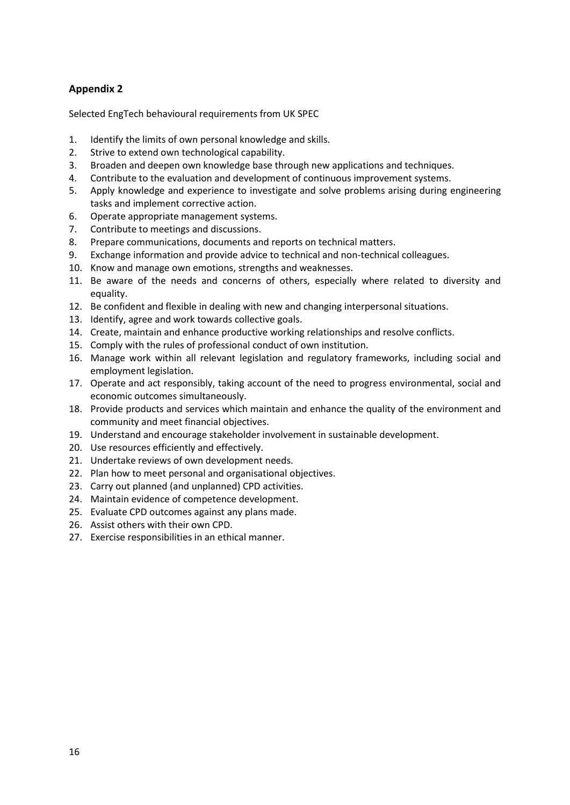## **Appendix 2**

Selected EngTech behavioural requirements from UK SPEC

- 1. Identify the limits of own personal knowledge and skills.
- 2. Strive to extend own technological capability.
- 3. Broaden and deepen own knowledge base through new applications and techniques.
- 4. Contribute to the evaluation and development of continuous improvement systems.
- 5. Apply knowledge and experience to investigate and solve problems arising during engineering tasks and implement corrective action.
- 6. Operate appropriate management systems.
- 7. Contribute to meetings and discussions.
- 8. Prepare communications, documents and reports on technical matters.
- 9. Exchange information and provide advice to technical and non-technical colleagues.
- 10. Know and manage own emotions, strengths and weaknesses.
- 11. Be aware of the needs and concerns of others, especially where related to diversity and equality.
- 12. Be confident and flexible in dealing with new and changing interpersonal situations.
- 13. Identify, agree and work towards collective goals.
- 14. Create, maintain and enhance productive working relationships and resolve conflicts.
- 15. Comply with the rules of professional conduct of own institution.
- 16. Manage work within all relevant legislation and regulatory frameworks, including social and employment legislation.
- 17. Operate and act responsibly, taking account of the need to progress environmental, social and economic outcomes simultaneously.
- 18. Provide products and services which maintain and enhance the quality of the environment and community and meet financial objectives.
- 19. Understand and encourage stakeholder involvement in sustainable development.
- 20. Use resources efficiently and effectively.
- 21. Undertake reviews of own development needs.
- 22. Plan how to meet personal and organisational objectives.
- 23. Carry out planned (and unplanned) CPD activities.
- 24. Maintain evidence of competence development.
- 25. Evaluate CPD outcomes against any plans made.
- 26. Assist others with their own CPD.
- 27. Exercise responsibilities in an ethical manner.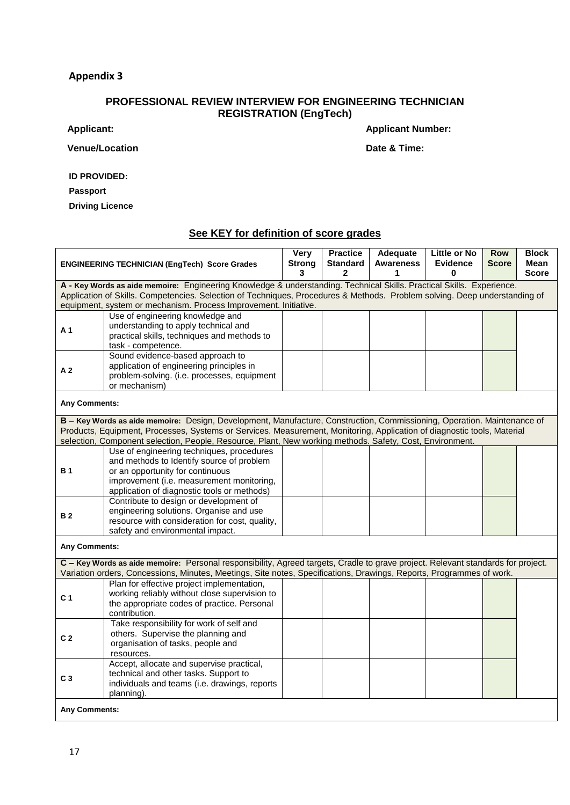## **Appendix 3**

## **PROFESSIONAL REVIEW INTERVIEW FOR ENGINEERING TECHNICIAN REGISTRATION (EngTech)**

**Venue/Location Date & Time:** 

**Applicant: Applicant Number:**

**ID PROVIDED:**

**Passport**

**Driving Licence**

## **See KEY for definition of score grades**

| <b>ENGINEERING TECHNICIAN (EngTech) Score Grades</b>                                                                                                                                                                                                                                                                    |                                                                                                                                                                                                                                                                                                                                                                | Very<br><b>Strong</b><br>3 | <b>Practice</b><br><b>Standard</b><br>$\mathbf{2}$ | Adequate<br><b>Awareness</b> | Little or No<br><b>Evidence</b><br>U | <b>Row</b><br><b>Score</b> | <b>Block</b><br>Mean<br><b>Score</b> |
|-------------------------------------------------------------------------------------------------------------------------------------------------------------------------------------------------------------------------------------------------------------------------------------------------------------------------|----------------------------------------------------------------------------------------------------------------------------------------------------------------------------------------------------------------------------------------------------------------------------------------------------------------------------------------------------------------|----------------------------|----------------------------------------------------|------------------------------|--------------------------------------|----------------------------|--------------------------------------|
| A - Key Words as aide memoire: Engineering Knowledge & understanding. Technical Skills. Practical Skills. Experience.<br>Application of Skills. Competencies. Selection of Techniques, Procedures & Methods. Problem solving. Deep understanding of<br>equipment, system or mechanism. Process Improvement. Initiative. |                                                                                                                                                                                                                                                                                                                                                                |                            |                                                    |                              |                                      |                            |                                      |
| A <sub>1</sub>                                                                                                                                                                                                                                                                                                          | Use of engineering knowledge and<br>understanding to apply technical and<br>practical skills, techniques and methods to<br>task - competence.                                                                                                                                                                                                                  |                            |                                                    |                              |                                      |                            |                                      |
| A <sub>2</sub>                                                                                                                                                                                                                                                                                                          | Sound evidence-based approach to<br>application of engineering principles in<br>problem-solving. (i.e. processes, equipment<br>or mechanism)                                                                                                                                                                                                                   |                            |                                                    |                              |                                      |                            |                                      |
| Any Comments:                                                                                                                                                                                                                                                                                                           |                                                                                                                                                                                                                                                                                                                                                                |                            |                                                    |                              |                                      |                            |                                      |
|                                                                                                                                                                                                                                                                                                                         | B - Key Words as aide memoire: Design, Development, Manufacture, Construction, Commissioning, Operation. Maintenance of<br>Products, Equipment, Processes, Systems or Services. Measurement, Monitoring, Application of diagnostic tools, Material<br>selection, Component selection, People, Resource, Plant, New working methods. Safety, Cost, Environment. |                            |                                                    |                              |                                      |                            |                                      |
| <b>B1</b>                                                                                                                                                                                                                                                                                                               | Use of engineering techniques, procedures<br>and methods to Identify source of problem<br>or an opportunity for continuous<br>improvement (i.e. measurement monitoring,<br>application of diagnostic tools or methods)                                                                                                                                         |                            |                                                    |                              |                                      |                            |                                      |
| <b>B2</b>                                                                                                                                                                                                                                                                                                               | Contribute to design or development of<br>engineering solutions. Organise and use<br>resource with consideration for cost, quality,<br>safety and environmental impact.                                                                                                                                                                                        |                            |                                                    |                              |                                      |                            |                                      |
| <b>Any Comments:</b>                                                                                                                                                                                                                                                                                                    |                                                                                                                                                                                                                                                                                                                                                                |                            |                                                    |                              |                                      |                            |                                      |
|                                                                                                                                                                                                                                                                                                                         | C - Key Words as aide memoire: Personal responsibility, Agreed targets, Cradle to grave project. Relevant standards for project.<br>Variation orders, Concessions, Minutes, Meetings, Site notes, Specifications, Drawings, Reports, Programmes of work.                                                                                                       |                            |                                                    |                              |                                      |                            |                                      |
| C <sub>1</sub>                                                                                                                                                                                                                                                                                                          | Plan for effective project implementation,<br>working reliably without close supervision to<br>the appropriate codes of practice. Personal<br>contribution.                                                                                                                                                                                                    |                            |                                                    |                              |                                      |                            |                                      |
| C <sub>2</sub>                                                                                                                                                                                                                                                                                                          | Take responsibility for work of self and<br>others. Supervise the planning and<br>organisation of tasks, people and<br>resources.                                                                                                                                                                                                                              |                            |                                                    |                              |                                      |                            |                                      |
| C <sub>3</sub>                                                                                                                                                                                                                                                                                                          | Accept, allocate and supervise practical,<br>technical and other tasks. Support to<br>individuals and teams (i.e. drawings, reports<br>planning).                                                                                                                                                                                                              |                            |                                                    |                              |                                      |                            |                                      |
| <b>Any Comments:</b>                                                                                                                                                                                                                                                                                                    |                                                                                                                                                                                                                                                                                                                                                                |                            |                                                    |                              |                                      |                            |                                      |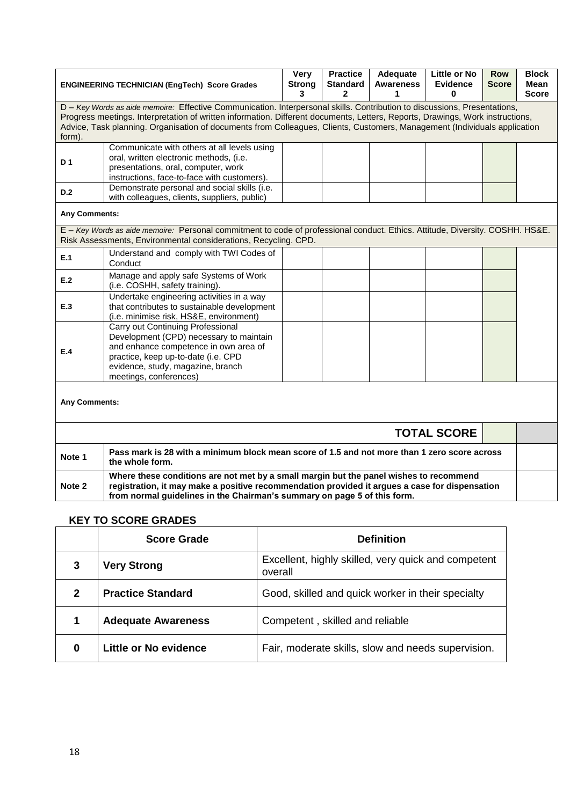|                                                                                                                                                                                                                                                                                                                                                                                                   | <b>ENGINEERING TECHNICIAN (EngTech) Score Grades</b>                                                                                                                                                                        | Very<br><b>Strong</b><br>3 | <b>Practice</b><br><b>Standard</b><br>$\mathbf{2}$ | Adequate<br><b>Awareness</b><br>1 | Little or No<br><b>Evidence</b><br>0 | <b>Row</b><br><b>Score</b> | <b>Block</b><br>Mean<br><b>Score</b> |
|---------------------------------------------------------------------------------------------------------------------------------------------------------------------------------------------------------------------------------------------------------------------------------------------------------------------------------------------------------------------------------------------------|-----------------------------------------------------------------------------------------------------------------------------------------------------------------------------------------------------------------------------|----------------------------|----------------------------------------------------|-----------------------------------|--------------------------------------|----------------------------|--------------------------------------|
| D - Key Words as aide memoire: Effective Communication. Interpersonal skills. Contribution to discussions, Presentations,<br>Progress meetings. Interpretation of written information. Different documents, Letters, Reports, Drawings, Work instructions,<br>Advice, Task planning. Organisation of documents from Colleagues, Clients, Customers, Management (Individuals application<br>form). |                                                                                                                                                                                                                             |                            |                                                    |                                   |                                      |                            |                                      |
| D 1                                                                                                                                                                                                                                                                                                                                                                                               | Communicate with others at all levels using<br>oral, written electronic methods, (i.e.<br>presentations, oral, computer, work<br>instructions, face-to-face with customers).                                                |                            |                                                    |                                   |                                      |                            |                                      |
| D.2                                                                                                                                                                                                                                                                                                                                                                                               | Demonstrate personal and social skills (i.e.<br>with colleagues, clients, suppliers, public)                                                                                                                                |                            |                                                    |                                   |                                      |                            |                                      |
| Any Comments:                                                                                                                                                                                                                                                                                                                                                                                     |                                                                                                                                                                                                                             |                            |                                                    |                                   |                                      |                            |                                      |
|                                                                                                                                                                                                                                                                                                                                                                                                   | E - Key Words as aide memoire: Personal commitment to code of professional conduct. Ethics. Attitude, Diversity. COSHH. HS&E.<br>Risk Assessments, Environmental considerations, Recycling. CPD.                            |                            |                                                    |                                   |                                      |                            |                                      |
| E.1                                                                                                                                                                                                                                                                                                                                                                                               | Understand and comply with TWI Codes of<br>Conduct                                                                                                                                                                          |                            |                                                    |                                   |                                      |                            |                                      |
| E.2                                                                                                                                                                                                                                                                                                                                                                                               | Manage and apply safe Systems of Work<br>(i.e. COSHH, safety training).                                                                                                                                                     |                            |                                                    |                                   |                                      |                            |                                      |
| E.3                                                                                                                                                                                                                                                                                                                                                                                               | Undertake engineering activities in a way<br>that contributes to sustainable development<br>(i.e. minimise risk, HS&E, environment)                                                                                         |                            |                                                    |                                   |                                      |                            |                                      |
| E.4                                                                                                                                                                                                                                                                                                                                                                                               | Carry out Continuing Professional<br>Development (CPD) necessary to maintain<br>and enhance competence in own area of<br>practice, keep up-to-date (i.e. CPD<br>evidence, study, magazine, branch<br>meetings, conferences) |                            |                                                    |                                   |                                      |                            |                                      |
| <b>Any Comments:</b>                                                                                                                                                                                                                                                                                                                                                                              |                                                                                                                                                                                                                             |                            |                                                    |                                   |                                      |                            |                                      |
| <b>TOTAL SCORE</b>                                                                                                                                                                                                                                                                                                                                                                                |                                                                                                                                                                                                                             |                            |                                                    |                                   |                                      |                            |                                      |
| Pass mark is 28 with a minimum block mean score of 1.5 and not more than 1 zero score across<br>Note 1<br>the whole form.                                                                                                                                                                                                                                                                         |                                                                                                                                                                                                                             |                            |                                                    |                                   |                                      |                            |                                      |
| Where these conditions are not met by a small margin but the panel wishes to recommend<br>registration, it may make a positive recommendation provided it argues a case for dispensation<br>Note 2<br>from normal guidelines in the Chairman's summary on page 5 of this form.                                                                                                                    |                                                                                                                                                                                                                             |                            |                                                    |                                   |                                      |                            |                                      |

## **KEY TO SCORE GRADES**

|                | <b>Score Grade</b>           | <b>Definition</b>                                              |
|----------------|------------------------------|----------------------------------------------------------------|
| 3              | <b>Very Strong</b>           | Excellent, highly skilled, very quick and competent<br>overall |
| $\mathfrak{p}$ | <b>Practice Standard</b>     | Good, skilled and quick worker in their specialty              |
| 1              | <b>Adequate Awareness</b>    | Competent, skilled and reliable                                |
| 0              | <b>Little or No evidence</b> | Fair, moderate skills, slow and needs supervision.             |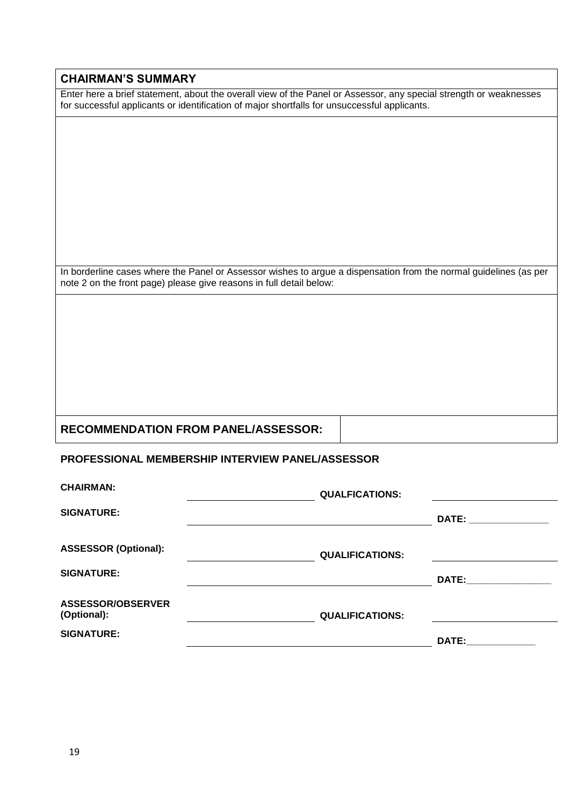## **CHAIRMAN'S SUMMARY**

Enter here a brief statement, about the overall view of the Panel or Assessor, any special strength or weaknesses for successful applicants or identification of major shortfalls for unsuccessful applicants.

In borderline cases where the Panel or Assessor wishes to argue a dispensation from the normal guidelines (as per note 2 on the front page) please give reasons in full detail below:

## **RECOMMENDATION FROM PANEL/ASSESSOR:**

## **PROFESSIONAL MEMBERSHIP INTERVIEW PANEL/ASSESSOR**

| <b>CHAIRMAN:</b>                        | <b>QUALFICATIONS:</b>  |              |
|-----------------------------------------|------------------------|--------------|
| <b>SIGNATURE:</b>                       |                        | <b>DATE:</b> |
| <b>ASSESSOR (Optional):</b>             | <b>QUALIFICATIONS:</b> |              |
| <b>SIGNATURE:</b>                       |                        | DATE:        |
| <b>ASSESSOR/OBSERVER</b><br>(Optional): | <b>QUALIFICATIONS:</b> |              |
| <b>SIGNATURE:</b>                       |                        | DATE:        |